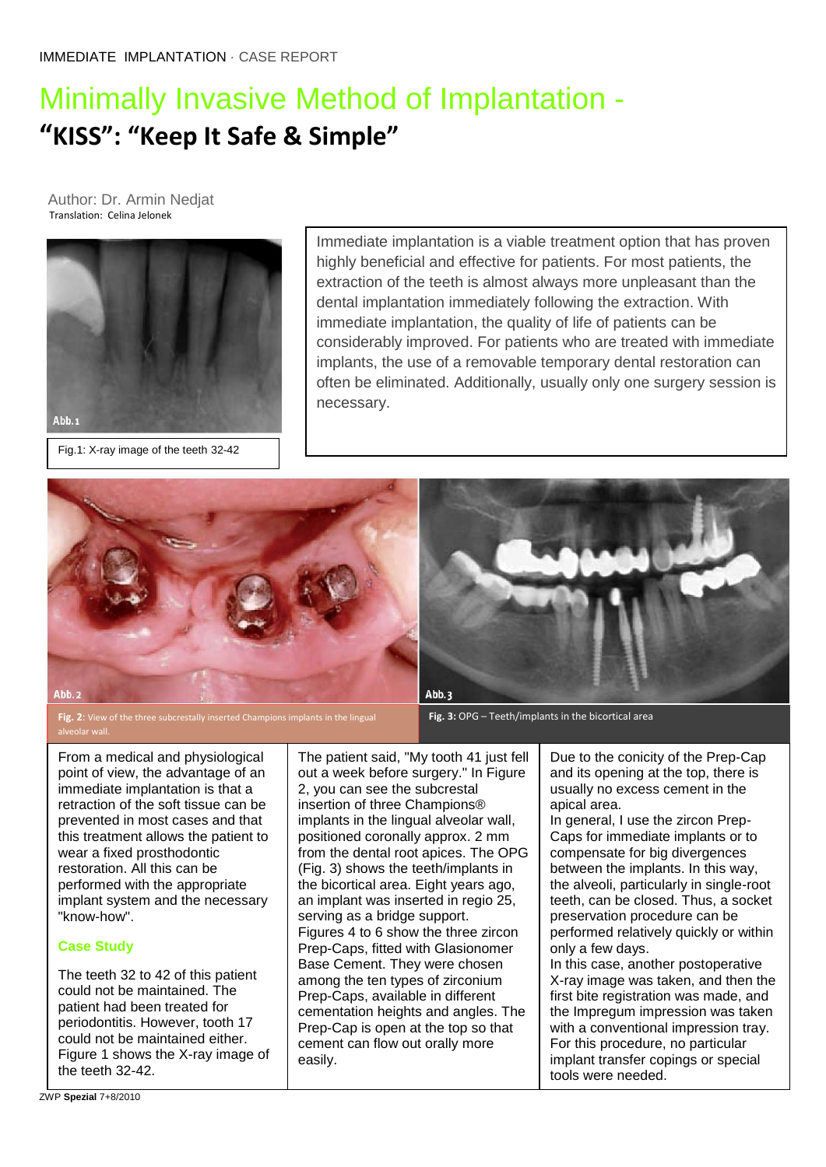# Minimally Invasive Method of Implantation - **"KISS": "Keep It Safe & Simple"**

 Author: Dr. Armin Nedjat Translation: Celina Jelonek



Fig.1: X-ray image of the teeth 32-42

Immediate implantation is a viable treatment option that has proven highly beneficial and effective for patients. For most patients, the extraction of the teeth is almost always more unpleasant than the dental implantation immediately following the extraction. With immediate implantation, the quality of life of patients can be considerably improved. For patients who are treated with immediate implants, the use of a removable temporary dental restoration can often be eliminated. Additionally, usually only one surgery session is necessary.



**Fig. 2**: View of the three subcrestally inserted Champions implants in the lingual



**Fig. 3:** OPG – Teeth/implants in the bicortical area

From a medical and physiological point of view, the advantage of an immediate implantation is that a retraction of the soft tissue can be prevented in most cases and that this treatment allows the patient to wear a fixed prosthodontic restoration. All this can be performed with the appropriate implant system and the necessary "know-how".

#### **Case Study**

The teeth 32 to 42 of this patient could not be maintained. The patient had been treated for periodontitis. However, tooth 17 could not be maintained either. Figure 1 shows the X-ray image of the teeth 32-42.

The patient said, "My tooth 41 just fell out a week before surgery." In Figure 2, you can see the subcrestal insertion of three Champions® implants in the lingual alveolar wall, positioned coronally approx. 2 mm from the dental root apices. The OPG (Fig. 3) shows the teeth/implants in the bicortical area. Eight years ago, an implant was inserted in regio 25, serving as a bridge support. Figures 4 to 6 show the three zircon Prep-Caps, fitted with Glasionomer Base Cement. They were chosen among the ten types of zirconium Prep-Caps, available in different cementation heights and angles. The Prep-Cap is open at the top so that cement can flow out orally more easily.

Due to the conicity of the Prep-Cap and its opening at the top, there is usually no excess cement in the apical area.

In general, I use the zircon Prep-Caps for immediate implants or to compensate for big divergences between the implants. In this way, the alveoli, particularly in single-root teeth, can be closed. Thus, a socket preservation procedure can be performed relatively quickly or within only a few days.

In this case, another postoperative X-ray image was taken, and then the first bite registration was made, and the Impregum impression was taken with a conventional impression tray. For this procedure, no particular implant transfer copings or special tools were needed.